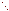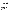## **Consumer Factsheet on: 1,1,1-TRICHLOROETHANE**

### [List of Contaminants](http://www.epa.gov/safewater/hfacts.html)

 As part of the Drinking Water and Health pages, this fact sheet is part of a larger publication: **National Primary Drinking Water Regulations** 

 States Environmental Protection Agency (EPA). This is a factsheet about a chemical that may be found in some public or private drinking water supplies. It may cause health problems if found in amounts greater than the health standard set by the United

#### **What is 1,1,1-TCA and how is it used?**

 1,1,1-Trichloroethane (1,1,1-TCA) is an organic liquid with a chloroform-like odor. It is largely used as a solvent removing grease from machined metal products, in textile processing and dyeing and in aerosols.

 The list of trade names given below may help you find out whether you are using this chemical at home or work.

#### **Trade Names and Synonyms:**

Chloroethene Methylchloroform Aerothene TT Algylen Alpha-T Chlorten Gemalgene Genklene Dowclene Solvent 111 **Trichloran** Inhibisol

#### **Why is 1,1,1-TCA being Regulated?**

 based solely on possible health risks and exposure, are called Maximum Contaminant Level Goals. In 1974, Congress passed the Safe Drinking Water Act. This law requires EPA to determine safe levels of chemicals in drinking water which do or may cause health problems. These non-enforceable levels,

 protection would not cause any of the potential health problems described below. The MCLG for 1,1,1-TCA has been set at 0.2 parts per million (ppm) because EPA believes this level of

 Based on this MCLG, EPA has set an enforceable standard called a Maximum Contaminant Level (MCL). MCLs are set as close to the MCLGs as possible, considering the ability of public water systems to detect and remove contaminants using suitable treatment technologies.

 it occur in drinking water. The MCL has been set at 0.2 ppm because EPA believes, given present technology and resources, this is the lowest level to which water systems can reasonably be required to remove this contaminant should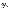These drinking water standards and the regulations for ensuring these standards are met, are called National Primary Drinking Water Regulations. All public water supplies must abide by these regulations.

#### **What are the Health Effects?**

Short-term: EPA has found 1,1,1-TCA to potentially cause the following health effects when people are exposed to it at levels above the MCL for relatively short periods of time: damage to the liver, nervous system and circulatory system.

 Long-term: 1,1,1-TCA has the potential to cause the following effects from a lifetime exposure at levels above the MCL: liver, nervous system and circulatory system damage.

#### **How much 1,1,1-TCA is produced and released to the environment?**

Demand for 1,1,1-trichloroethane was 705 million lbs. in 1989. 1,1,1-TCA is likely to enter the environment by evaporation or in wastewater from its production or use in metal cleaning. It can also enter the environment in leachates and volatile emissions from landfills.

From 1987 to 1993, according to EPA's Toxic Chemical Release Inventory, releases to water and land totalled over 1 million lbs. These releases were primarily from metal fabrication industries. The largest releases occurred in California and Georgia. The largest direct releases to water occurred in Utah and Indiana.

#### **What happens to 1,1,1-TCA when it is released to the environment?**

 1,1,1-TCA will evaporate rapidly from water and soil. It does not bind to soils nor is it broken down by microbial action, so it may leach to ground water. It has little tendency to accumulate in aquatic life.

#### **How will 1,1,1-TCA be Detected in and Removed from My Drinking Water?**

contaminant. The regulation for 1,1,1-TCA became effective in 1989. Between 1993 and 1995, EPA required your water supplier to collect water samples every 3 months for one year and analyze them to find out if 1,1,1-TCA is present above 0.5 ppb. If it is present above this level, the system must continue to monitor this

 methods have been approved by EPA for removing 1,1,1-TCA: Granular activated charcoal in combination with Packed Tower Aeration. If contaminant levels are found to be consistently above the MCL, your water supplier must take steps to reduce the amount of 1,1,1-TCA so that it is consistently below that level. The following treatment

#### **How will I know if 1,1,1-TCA is in my drinking water?**

 be required to prevent serious risks to public health. If the levels of 1,1,1-TCA exceed the MCL, 0.2 ppm, the system must notify the public via newspapers, radio, TV and other means. Additional actions, such as providing alternative drinking water supplies, may

#### **Drinking Water Standards:**

Mclg: 0.2 ppm

Mcl: 0.2 ppm